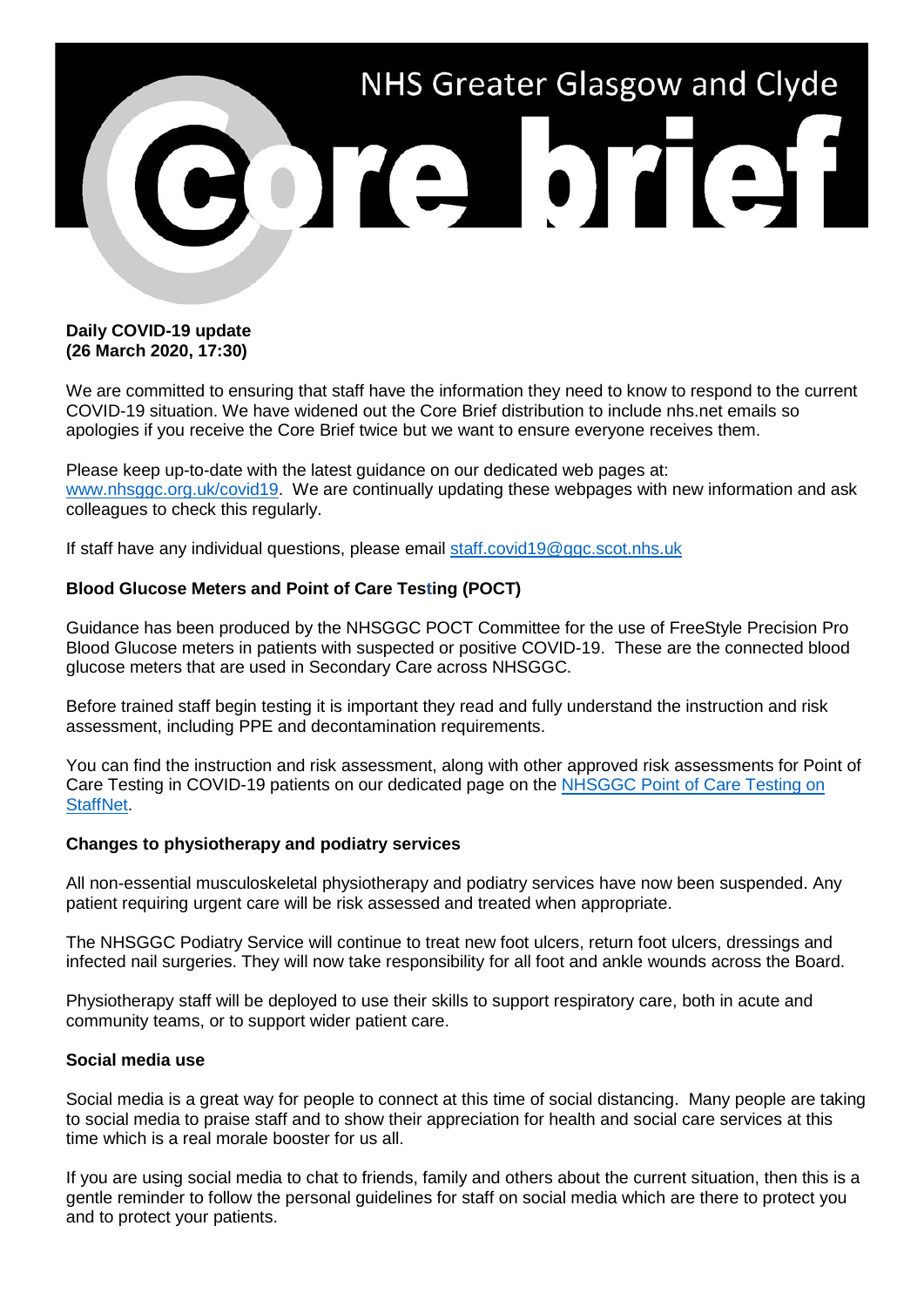

## **Daily COVID-19 update (26 March 2020, 17:30)**

We are committed to ensuring that staff have the information they need to know to respond to the current COVID-19 situation. We have widened out the Core Brief distribution to include nhs.net emails so apologies if you receive the Core Brief twice but we want to ensure everyone receives them.

Please keep up-to-date with the latest guidance on our dedicated web pages at: [www.nhsggc.org.uk/covid19.](http://www.nhsggc.org.uk/covid19) We are continually updating these webpages with new information and ask colleagues to check this regularly.

If staff have any individual questions, please email [staff.covid19@ggc.scot.nhs.uk](mailto:staff.covid19@ggc.scot.nhs.uk)

# **Blood Glucose Meters and Point of Care Testing (POCT)**

Guidance has been produced by the NHSGGC POCT Committee for the use of FreeStyle Precision Pro Blood Glucose meters in patients with suspected or positive COVID-19. These are the connected blood glucose meters that are used in Secondary Care across NHSGGC.

Before trained staff begin testing it is important they read and fully understand the instruction and risk assessment, including PPE and decontamination requirements.

You can find the instruction and risk assessment, along with other approved risk assessments for Point of Care Testing in COVID-19 patients on our dedicated page on the NHSGGC Point of Care Testing on [StaffNet.](http://www.staffnet.ggc.scot.nhs.uk/Acute/Diagnostics/All%20Laboratory%20Medicine/Point%20of%20Care%20Testing/Pages/COVID-19RiskAssesment.aspx)

### **Changes to physiotherapy and podiatry services**

All non-essential musculoskeletal physiotherapy and podiatry services have now been suspended. Any patient requiring urgent care will be risk assessed and treated when appropriate.

The NHSGGC Podiatry Service will continue to treat new foot ulcers, return foot ulcers, dressings and infected nail surgeries. They will now take responsibility for all foot and ankle wounds across the Board.

Physiotherapy staff will be deployed to use their skills to support respiratory care, both in acute and community teams, or to support wider patient care.

### **Social media use**

Social media is a great way for people to connect at this time of social distancing. Many people are taking to social media to praise staff and to show their appreciation for health and social care services at this time which is a real morale booster for us all.

If you are using social media to chat to friends, family and others about the current situation, then this is a gentle reminder to follow the personal guidelines for staff on social media which are there to protect you and to protect your patients.